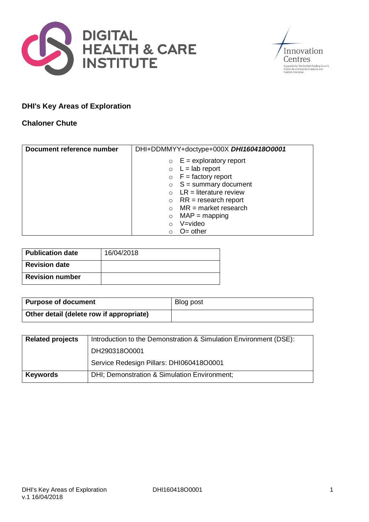



## **DHI's Key Areas of Exploration**

### **Chaloner Chute**

| Document reference number | DHI+DDMMYY+doctype+000X DHI160418O0001 |
|---------------------------|----------------------------------------|
|                           | $E =$ exploratory report<br>$\circ$    |
|                           | $L =$ lab report<br>$\circ$            |
|                           | $\circ$ F = factory report             |
|                           | $S =$ summary document<br>$\circ$      |
|                           | $LR =$ literature review               |
|                           | $RR = research report$<br>$\circ$      |
|                           | $MR = market research$                 |
|                           | $MAP = mapping$                        |
|                           | V=video                                |
|                           | $O=$ other                             |

| <b>Publication date</b> | 16/04/2018 |
|-------------------------|------------|
| <b>Revision date</b>    |            |
| <b>Revision number</b>  |            |

| <b>Purpose of document</b>               | Blog post |
|------------------------------------------|-----------|
| Other detail (delete row if appropriate) |           |

| <b>Related projects</b> | Introduction to the Demonstration & Simulation Environment (DSE): |  |
|-------------------------|-------------------------------------------------------------------|--|
|                         | DH290318O0001                                                     |  |
|                         | Service Redesign Pillars: DHI060418O0001                          |  |
| <b>Keywords</b>         | DHI; Demonstration & Simulation Environment;                      |  |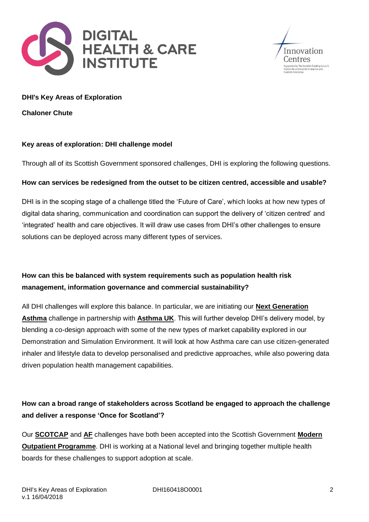



#### **DHI's Key Areas of Exploration**

**Chaloner Chute**

#### **Key areas of exploration: DHI challenge model**

Through all of its Scottish Government sponsored challenges, DHI is exploring the following questions.

### **How can services be redesigned from the outset to be citizen centred, accessible and usable?**

DHI is in the scoping stage of a challenge titled the 'Future of Care', which looks at how new types of digital data sharing, communication and coordination can support the delivery of 'citizen centred' and 'integrated' health and care objectives. It will draw use cases from DHI's other challenges to ensure solutions can be deployed across many different types of services.

## **How can this be balanced with system requirements such as population health risk management, information governance and commercial sustainability?**

All DHI challenges will explore this balance. In particular, we are initiating our **Next [Generation](http://dhi-scotland.com/next-generation-asthma-care/) [Asthma](http://dhi-scotland.com/next-generation-asthma-care/)** challenge in partnership with **[Asthma](https://www.asthma.org.uk/get-involved/campaigns/our-policy-work/technology-enabled-asthma-management/) UK**. This will further develop DHI's delivery model, by blending a co-design approach with some of the new types of market capability explored in our Demonstration and Simulation Environment. It will look at how Asthma care can use citizen-generated inhaler and lifestyle data to develop personalised and predictive approaches, while also powering data driven population health management capabilities.

# **How can a broad range of stakeholders across Scotland be engaged to approach the challenge and deliver a response 'Once for Scotland'?**

Our **[SCOTCAP](http://dhi-scotland.com/transforming-gastroenterology-services-through-remote-imaging/)** and **[AF](http://dhi-scotland.com/stroke-reduction-by-digital-atrial-fibrillation-detection/)** challenges have both been accepted into the Scottish Government **[Modern](http://www.gov.scot/Publications/2017/09/9165) Outpatient [Programme](http://www.gov.scot/Publications/2017/09/9165)**. DHI is working at a National level and bringing together multiple health boards for these challenges to support adoption at scale.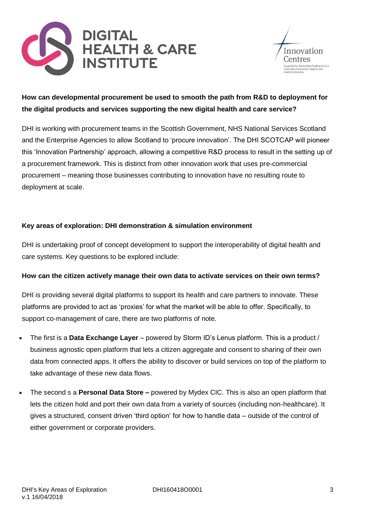



## **How can developmental procurement be used to smooth the path from R&D to deployment for the digital products and services supporting the new digital health and care service?**

DHI is working with procurement teams in the Scottish Government, NHS National Services Scotland and the Enterprise Agencies to allow Scotland to 'procure innovation'. The DHI SCOTCAP will pioneer this 'Innovation Partnership' approach, allowing a competitive R&D process to result in the setting up of a procurement framework. This is distinct from other innovation work that uses pre-commercial procurement – meaning those businesses contributing to innovation have no resulting route to deployment at scale.

### **Key areas of exploration: DHI demonstration & simulation environment**

DHI is undertaking proof of concept development to support the interoperability of digital health and care systems. Key questions to be explored include:

#### **How can the citizen actively manage their own data to activate services on their own terms?**

DHI is providing several digital platforms to support its health and care partners to innovate. These platforms are provided to act as 'proxies' for what the market will be able to offer. Specifically, to support co-management of care, there are two platforms of note.

- The first is a **Data Exchange Layer** powered by Storm ID's Lenus platform. This is a product / business agnostic open platform that lets a citizen aggregate and consent to sharing of their own data from connected apps. It offers the ability to discover or build services on top of the platform to take advantage of these new data flows.
- The second s a **Personal Data Store –** powered by Mydex CIC. This is also an open platform that lets the citizen hold and port their own data from a variety of sources (including non-healthcare). It gives a structured, consent driven 'third option' for how to handle data – outside of the control of either government or corporate providers.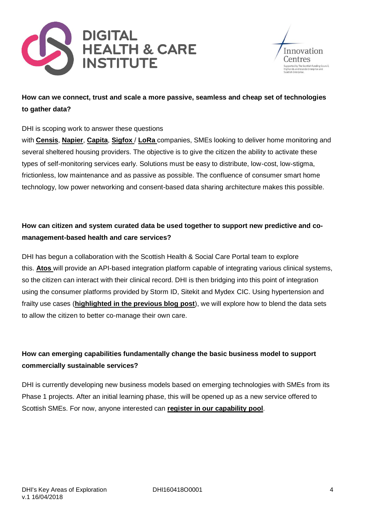



## **How can we connect, trust and scale a more passive, seamless and cheap set of technologies to gather data?**

DHI is scoping work to answer these questions

with **[Censis](https://censis.org.uk/)**, **[Napier](https://www.napier.ac.uk/)**, **[Capita](http://www.capita.com/)**, **[Sigfox](https://www.sigfox.com/en)** / **[LoRa](https://www.lora-alliance.org/)** companies, SMEs looking to deliver home monitoring and several sheltered housing providers. The objective is to give the citizen the ability to activate these types of self-monitoring services early. Solutions must be easy to distribute, low-cost, low-stigma, frictionless, low maintenance and as passive as possible. The confluence of consumer smart home technology, low power networking and consent-based data sharing architecture makes this possible.

## **How can citizen and system curated data be used together to support new predictive and comanagement-based health and care services?**

DHI has begun a collaboration with the Scottish Health & Social Care Portal team to explore this. **[Atos](https://atos.net/en/)** will provide an API-based integration platform capable of integrating various clinical systems, so the citizen can interact with their clinical record. DHI is then bridging into this point of integration using the consumer platforms provided by Storm ID, Sitekit and Mydex CIC. Using hypertension and frailty use cases (**[highlighted](http://dhi-scotland.com/news/2018/april/service-redesign-pillars/) in the previous blog post**), we will explore how to blend the data sets to allow the citizen to better co-manage their own care.

# **How can emerging capabilities fundamentally change the basic business model to support commercially sustainable services?**

DHI is currently developing new business models based on emerging technologies with SMEs from its Phase 1 projects. After an initial learning phase, this will be opened up as a new service offered to Scottish SMEs. For now, anyone interested can **register in our [capability](http://dhi-scotland.com/capability-pools/) pool**.